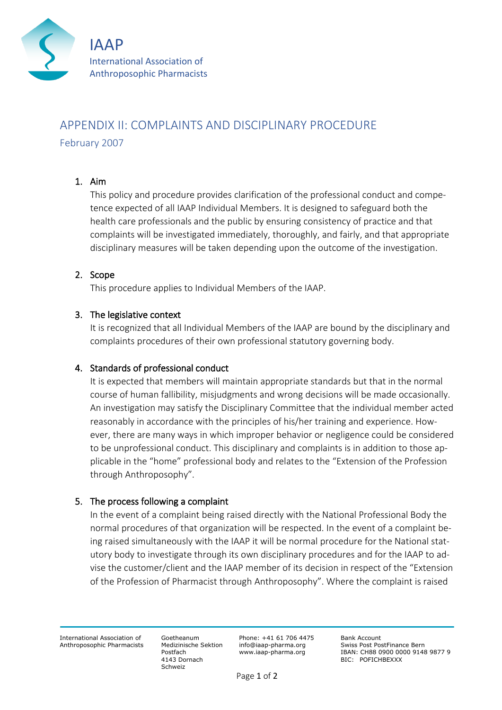

# APPENDIX II: COMPLAINTS AND DISCIPLINARY PROCEDURE February 2007

## 1. Aim

This policy and procedure provides clarification of the professional conduct and competence expected of all IAAP Individual Members. It is designed to safeguard both the health care professionals and the public by ensuring consistency of practice and that complaints will be investigated immediately, thoroughly, and fairly, and that appropriate disciplinary measures will be taken depending upon the outcome of the investigation.

## 2. Scope

This procedure applies to Individual Members of the IAAP.

#### 3. The legislative context

It is recognized that all Individual Members of the IAAP are bound by the disciplinary and complaints procedures of their own professional statutory governing body.

## 4. Standards of professional conduct

It is expected that members will maintain appropriate standards but that in the normal course of human fallibility, misjudgments and wrong decisions will be made occasionally. An investigation may satisfy the Disciplinary Committee that the individual member acted reasonably in accordance with the principles of his/her training and experience. However, there are many ways in which improper behavior or negligence could be considered to be unprofessional conduct. This disciplinary and complaints is in addition to those applicable in the "home" professional body and relates to the "Extension of the Profession through Anthroposophy".

## 5. The process following a complaint

In the event of a complaint being raised directly with the National Professional Body the normal procedures of that organization will be respected. In the event of a complaint being raised simultaneously with the IAAP it will be normal procedure for the National statutory body to investigate through its own disciplinary procedures and for the IAAP to advise the customer/client and the IAAP member of its decision in respect of the "Extension of the Profession of Pharmacist through Anthroposophy". Where the complaint is raised

International Association of Anthroposophic Pharmacists

Goetheanum Medizinische Sektion Postfach 4143 Dornach Schweiz

Phone: +41 61 706 4475 info@iaap-pharma.org www.iaap-pharma.org

Bank Account Swiss Post PostFinance Bern IBAN: CH88 0900 0000 9148 9877 9 BIC: POFICHBEXXX